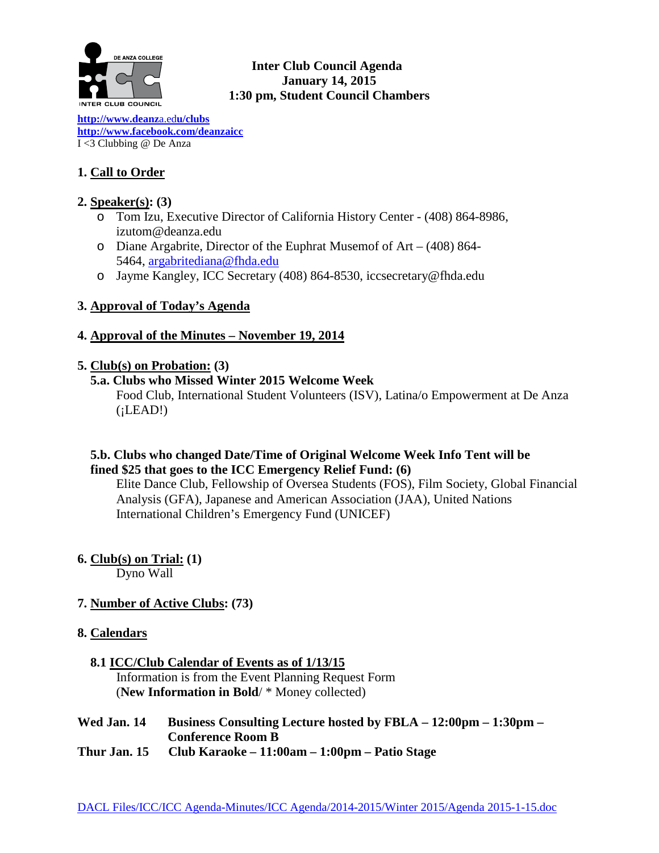

# **Inter Club Council Agenda January 14, 2015 1:30 pm, Student Council Chambers**

**[http://www.deanz](http://www.deanza.edu/clubs)**a.ed**u/clubs [http://www.facebook.com/deanzaicc](http://www.facebook.com/home.php%23!/group.php?gid=59034552686)** I <3 Clubbing @ De Anza

# **1. Call to Order**

# **2. Speaker(s): (3)**

- o Tom Izu, Executive Director of California History Center (408) 864-8986, izutom@deanza.edu
- o Diane Argabrite, Director of the Euphrat Musemof of Art (408) 864- 5464, [argabritediana@fhda.edu](mailto:argabritediana@fhda.edu)
- o Jayme Kangley, ICC Secretary (408) 864-8530, iccsecretary@fhda.edu

# **3. Approval of Today's Agenda**

# **4. Approval of the Minutes – November 19, 2014**

# **5. Club(s) on Probation: (3)**

 **5.a. Clubs who Missed Winter 2015 Welcome Week**

Food Club, International Student Volunteers (ISV), Latina/o Empowerment at De Anza  $(iLEAD!)$ 

# **5.b. Clubs who changed Date/Time of Original Welcome Week Info Tent will be fined \$25 that goes to the ICC Emergency Relief Fund: (6)**

Elite Dance Club, Fellowship of Oversea Students (FOS), Film Society, Global Financial Analysis (GFA), Japanese and American Association (JAA), United Nations International Children's Emergency Fund (UNICEF)

**6. Club(s) on Trial: (1)**

Dyno Wall

# **7. Number of Active Clubs: (73)**

# **8. Calendars**

# **8.1 ICC/Club Calendar of Events as of 1/13/15** Information is from the Event Planning Request Form

(**New Information in Bold**/ \* Money collected)

# **Wed Jan. 14 Business Consulting Lecture hosted by FBLA – 12:00pm – 1:30pm – Conference Room B**

**Thur Jan. 15 Club Karaoke – 11:00am – 1:00pm – Patio Stage**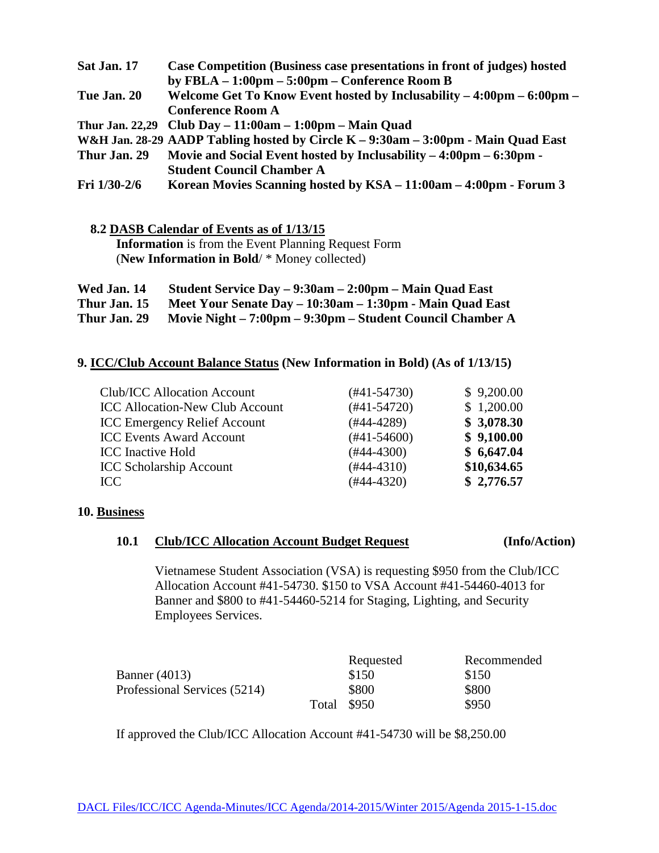| Sat Jan. 17  | Case Competition (Business case presentations in front of judges) hosted          |
|--------------|-----------------------------------------------------------------------------------|
|              | by FBLA $-1:00$ pm $-5:00$ pm $-$ Conference Room B                               |
| Tue Jan. 20  | Welcome Get To Know Event hosted by Inclusability – 4:00pm – 6:00pm –             |
|              | <b>Conference Room A</b>                                                          |
|              | Thur Jan. 22,29 Club Day $-11:00$ am $-1:00$ pm $-$ Main Quad                     |
|              | W&H Jan. 28-29 AADP Tabling hosted by Circle K – 9:30am – 3:00pm - Main Quad East |
| Thur Jan. 29 | Movie and Social Event hosted by Inclusability – 4:00pm – 6:30pm -                |
|              | <b>Student Council Chamber A</b>                                                  |
| Fri 1/30-2/6 | Korean Movies Scanning hosted by KSA - 11:00am - 4:00pm - Forum 3                 |

 **8.2 DASB Calendar of Events as of 1/13/15 Information** is from the Event Planning Request Form

(**New Information in Bold**/ \* Money collected)

| Wed Jan. 14  | Student Service Day – 9:30am – 2:00pm – Main Quad East    |
|--------------|-----------------------------------------------------------|
| Thur Jan. 15 | Meet Your Senate Day – 10:30am – 1:30pm - Main Quad East  |
| Thur Jan. 29 | Movie Night – 7:00pm – 9:30pm – Student Council Chamber A |

# **9. ICC/Club Account Balance Status (New Information in Bold) (As of 1/13/15)**

| $(#41-54730)$ | \$9,200.00  |
|---------------|-------------|
| $(#41-54720)$ | \$1,200.00  |
| $(#44-4289)$  | \$3,078.30  |
| $(#41-54600)$ | \$9,100.00  |
| $(#44-4300)$  | \$6,647.04  |
| $(#44-4310)$  | \$10,634.65 |
| $(#44-4320)$  | \$2,776.57  |
|               |             |

# **10. Business**

# **10.1 Club/ICC Allocation Account Budget Request (Info/Action)**

Vietnamese Student Association (VSA) is requesting \$950 from the Club/ICC Allocation Account #41-54730. \$150 to VSA Account #41-54460-4013 for Banner and \$800 to #41-54460-5214 for Staging, Lighting, and Security Employees Services.

|                              | Requested   | Recommended |
|------------------------------|-------------|-------------|
| Banner (4013)                | \$150       | \$150       |
| Professional Services (5214) | \$800       | \$800       |
|                              | Total \$950 | \$950       |

If approved the Club/ICC Allocation Account #41-54730 will be \$8,250.00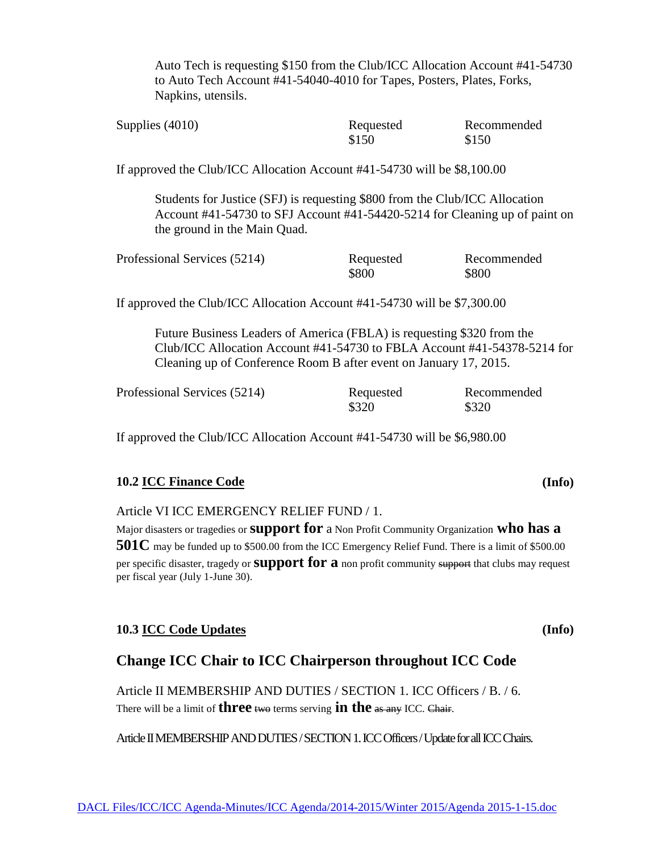Auto Tech is requesting \$150 from the Club/ICC Allocation Account #41-54730 to Auto Tech Account #41-54040-4010 for Tapes, Posters, Plates, Forks, Napkins, utensils.

| Supplies $(4010)$ | Requested | Recommended |
|-------------------|-----------|-------------|
|                   | \$150     | \$150       |

If approved the Club/ICC Allocation Account #41-54730 will be \$8,100.00

Students for Justice (SFJ) is requesting \$800 from the Club/ICC Allocation Account #41-54730 to SFJ Account #41-54420-5214 for Cleaning up of paint on the ground in the Main Quad.

| Professional Services (5214) | Requested | Recommended |
|------------------------------|-----------|-------------|
|                              | \$800     | \$800       |

If approved the Club/ICC Allocation Account #41-54730 will be \$7,300.00

Future Business Leaders of America (FBLA) is requesting \$320 from the Club/ICC Allocation Account #41-54730 to FBLA Account #41-54378-5214 for Cleaning up of Conference Room B after event on January 17, 2015.

| Professional Services (5214) | Requested | Recommended |
|------------------------------|-----------|-------------|
|                              | \$320     | \$320       |

If approved the Club/ICC Allocation Account #41-54730 will be \$6,980.00

# **10.2 ICC Finance Code (Info)**

Article VI ICC EMERGENCY RELIEF FUND / 1.

Major disasters or tragedies or **support for** a Non Profit Community Organization **who has a 501C** may be funded up to \$500.00 from the ICC Emergency Relief Fund. There is a limit of \$500.00 per specific disaster, tragedy or **support for a** non profit community support that clubs may request per fiscal year (July 1-June 30).

# **10.3 ICC Code Updates (Info)**

# **Change ICC Chair to ICC Chairperson throughout ICC Code**

Article II MEMBERSHIP AND DUTIES / SECTION 1. ICC Officers / B. / 6. There will be a limit of **three** two terms serving **in the** as any ICC. Chair.

Article II MEMBERSHIP AND DUTIES / SECTION 1. ICC Officers / Update for all ICC Chairs.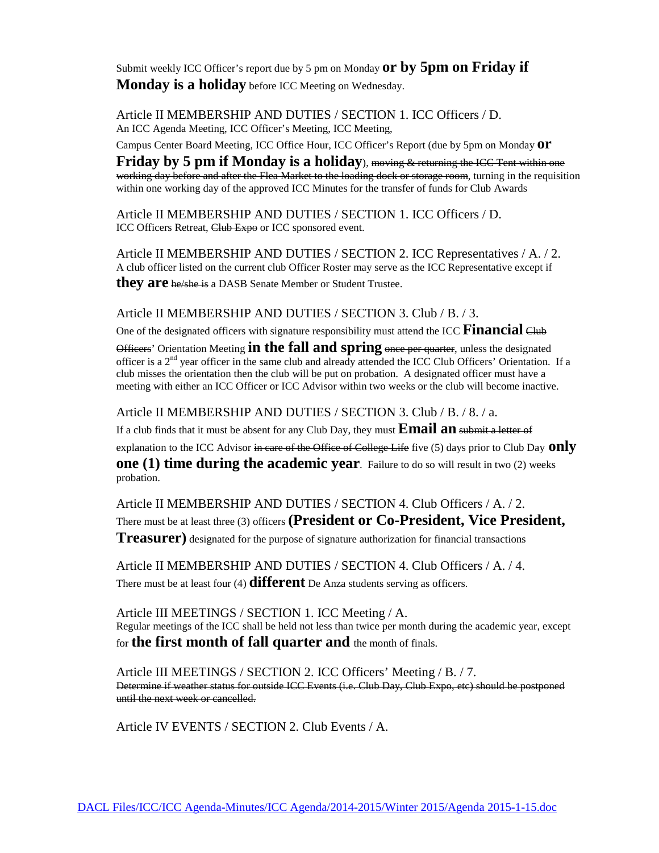Submit weekly ICC Officer's report due by 5 pm on Monday **or by 5pm on Friday if Monday is a holiday** before ICC Meeting on Wednesday.

Article II MEMBERSHIP AND DUTIES / SECTION 1. ICC Officers / D. An ICC Agenda Meeting, ICC Officer's Meeting, ICC Meeting,

Campus Center Board Meeting, ICC Office Hour, ICC Officer's Report (due by 5pm on Monday **or**

**Friday by 5 pm if Monday is a holiday**), moving & returning the ICC Tent within one working day before and after the Flea Market to the loading dock or storage room, turning in the requisition within one working day of the approved ICC Minutes for the transfer of funds for Club Awards

Article II MEMBERSHIP AND DUTIES / SECTION 1. ICC Officers / D. ICC Officers Retreat, Club Expo or ICC sponsored event.

Article II MEMBERSHIP AND DUTIES / SECTION 2. ICC Representatives / A. / 2. A club officer listed on the current club Officer Roster may serve as the ICC Representative except if they are he/she is a DASB Senate Member or Student Trustee.

Article II MEMBERSHIP AND DUTIES / SECTION 3. Club / B. / 3.

One of the designated officers with signature responsibility must attend the ICC Financial Club

Officers' Orientation Meeting **in the fall and spring** once per quarter, unless the designated officer is a  $2<sup>nd</sup>$  year officer in the same club and already attended the ICC Club Officers' Orientation. If a club misses the orientation then the club will be put on probation. A designated officer must have a meeting with either an ICC Officer or ICC Advisor within two weeks or the club will become inactive.

Article II MEMBERSHIP AND DUTIES / SECTION 3. Club / B. / 8. / a.

If a club finds that it must be absent for any Club Day, they must **Email an** submit a letter of explanation to the ICC Advisor in care of the Office of College Life five (5) days prior to Club Day **only one (1) time during the academic year**. Failure to do so will result in two (2) weeks probation.

Article II MEMBERSHIP AND DUTIES / SECTION 4. Club Officers / A. / 2. There must be at least three (3) officers **(President or Co-President, Vice President, Treasurer)** designated for the purpose of signature authorization for financial transactions

Article II MEMBERSHIP AND DUTIES / SECTION 4. Club Officers / A. / 4. There must be at least four (4) **different** De Anza students serving as officers.

Article III MEETINGS / SECTION 1. ICC Meeting / A. Regular meetings of the ICC shall be held not less than twice per month during the academic year, except for **the first month of fall quarter and** the month of finals.

Article III MEETINGS / SECTION 2. ICC Officers' Meeting / B. / 7. Determine if weather status for outside ICC Events (i.e. Club Day, Club Expo, etc) should be postponed until the next week or cancelled.

Article IV EVENTS / SECTION 2. Club Events / A.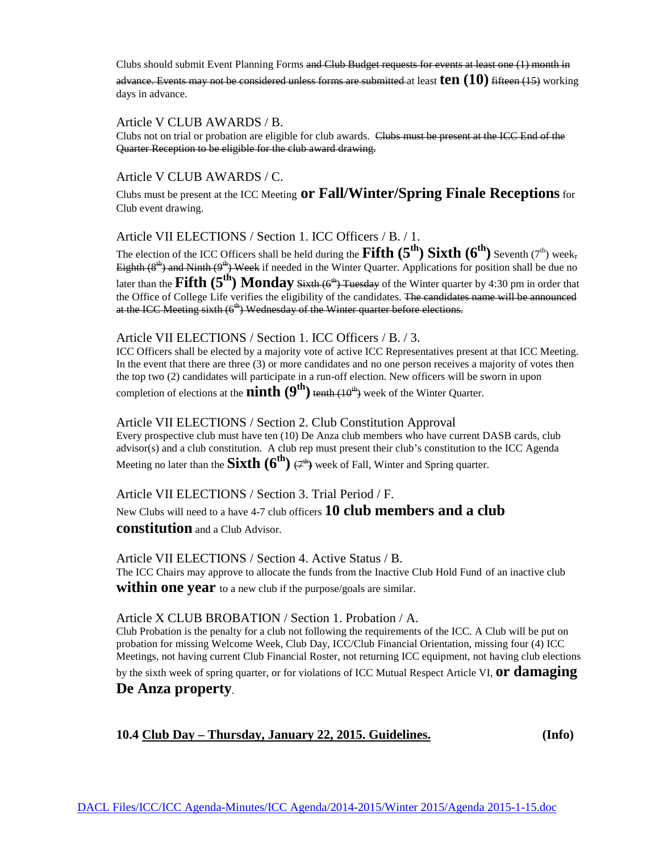Clubs should submit Event Planning Forms and Club Budget requests for events at least one (1) month in

advance. Events may not be considered unless forms are submitted at least **ten (10)** fifteen (15) working days in advance.

### Article V CLUB AWARDS / B.

Clubs not on trial or probation are eligible for club awards. Clubs must be present at the ICC End of the Quarter Reception to be eligible for the club award drawing.

## Article V CLUB AWARDS / C.

Clubs must be present at the ICC Meeting **or Fall/Winter/Spring Finale Receptions**for Club event drawing.

Article VII ELECTIONS / Section 1. ICC Officers / B. / 1.

The election of the ICC Officers shall be held during the **Fifth**  $(5^{th})$  **Sixth**  $(6^{th})$  Seventh (7<sup>th</sup>) week, Eighth  $(8<sup>th</sup>)$  and Ninth  $(9<sup>th</sup>)$  Week if needed in the Winter Quarter. Applications for position shall be due no later than the **Fifth (5<sup>th</sup>) Monday** Sixth (6<sup>th</sup>) Tuesday of the Winter quarter by 4:30 pm in order that the Office of College Life verifies the eligibility of the candidates. The candidates name will be announced at the ICC Meeting sixth (6<sup>th</sup>) Wednesday of the Winter quarter before elections.

### Article VII ELECTIONS / Section 1. ICC Officers / B. / 3.

ICC Officers shall be elected by a majority vote of active ICC Representatives present at that ICC Meeting. In the event that there are three (3) or more candidates and no one person receives a majority of votes then the top two (2) candidates will participate in a run-off election. New officers will be sworn in upon completion of elections at the **ninth**  $(9<sup>th</sup>)$  tenth  $(10<sup>th</sup>)$  week of the Winter Quarter.

### Article VII ELECTIONS / Section 2. Club Constitution Approval

Every prospective club must have ten (10) De Anza club members who have current DASB cards, club advisor(s) and a club constitution. A club rep must present their club's constitution to the ICC Agenda Meeting no later than the **Sixth**  $(6^{th})$   $(7^{th})$  week of Fall, Winter and Spring quarter.

## Article VII ELECTIONS / Section 3. Trial Period / F.

New Clubs will need to a have 4-7 club officers **10 club members and a club** 

**constitution** and a Club Advisor.

### Article VII ELECTIONS / Section 4. Active Status / B.

The ICC Chairs may approve to allocate the funds from the Inactive Club Hold Fund of an inactive club **within one year** to a new club if the purpose/goals are similar.

#### Article X CLUB BROBATION / Section 1. Probation / A.

Club Probation is the penalty for a club not following the requirements of the ICC. A Club will be put on probation for missing Welcome Week, Club Day, ICC/Club Financial Orientation, missing four (4) ICC Meetings, not having current Club Financial Roster, not returning ICC equipment, not having club elections

by the sixth week of spring quarter, or for violations of ICC Mutual Respect Article VI, **or damaging** 

## **De Anza property**.

## **10.4 Club Day – Thursday, January 22, 2015. Guidelines. (Info)**